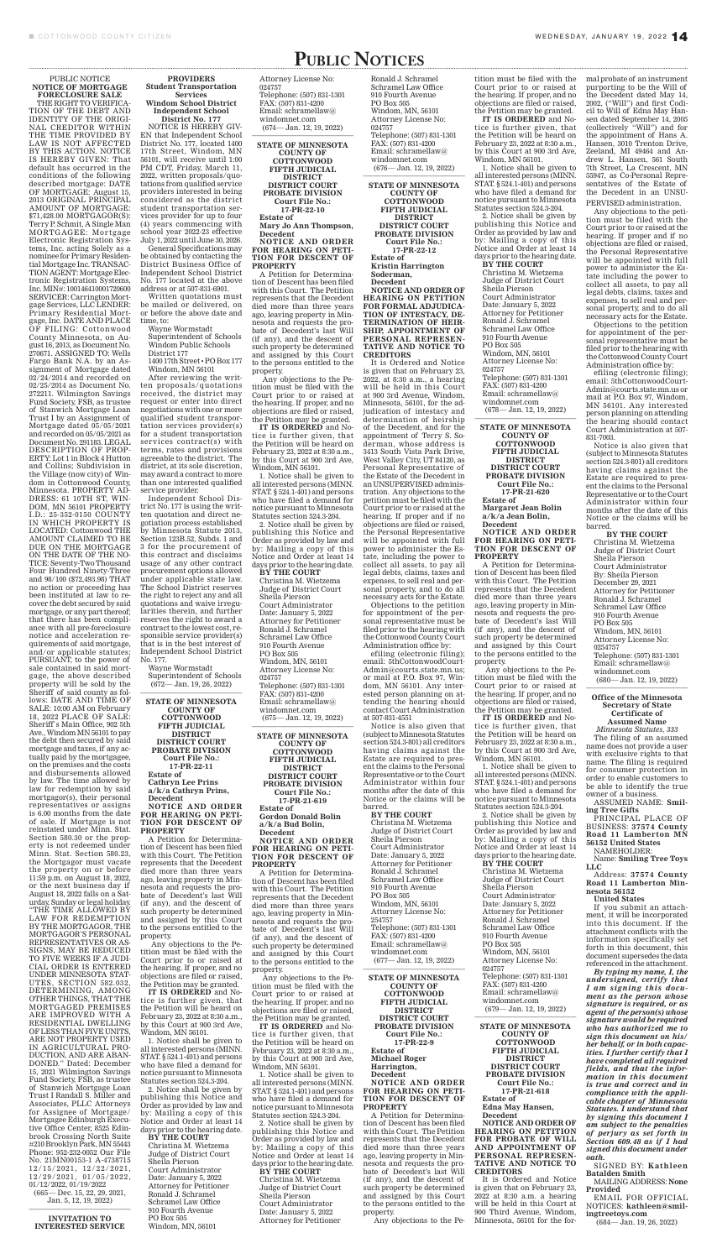# PURSUANT, to the power of sale contained in said mortgage, the above described property will be sold by the Sheriff of said county as follows: DATE AND TIME OF SALE: 10:00 AM on February 18, 2022 PLACE OF SALE: Sheriff's Main Office, 902.5th

#### PUBLIC NOTICE **NOTICE OF MORTGAGE FORECLOSURE SALE** THE RIGHT TO VERIFICA-TION OF THE DEBT AND IDENTITY OF THE ORIGI-NAL CREDITOR WITHIN THE TIME PROVIDED BY LAW IS NOT AFFECTED BY THIS ACTION. NOTICE IS HEREBY GIVEN: That default has occurred in the conditions of the following described mortgage: DATE OF MORTGAGE: August 15, 2013 ORIGINAL PRINCIPAL AMOUNT OF MORTGAGE: \$71,428.00 MORTGAGOR(S): Terry P. Schmit, A Single Man MORTGAGEE: Mortgage Electronic Registration Systems, Inc. acting Solely as a nominee for Primary Residential Mortgage Inc. TRANSAC-TION AGENT: Mortgage Electronic Registration Systems, Inc. MIN#: 100146410001720600 SERVICER: Carrington Mortgage Services, LLC LENDER: Primary Residential Mortgage, Inc. DATE AND PLACE OF FILING: Cottonwood County Minnesota, on August 16, 2013, as Document No. 270671. ASSIGNED TO: Wells Fargo Bank N.A. by an Assignment of Mortgage dated 02/24/2014 and recorded on 02/25/2014 as Document No. 272211. Wilmington Savings Fund Society, FSB, as trustee of Stanwich Mortgage Loan Trust I by an Assignment of Mortgage dated 05/05/2021 and recorded on 05/05/2021 as Document No. 291183. LEGAL DESCRIPTION OF PROP-ERTY: Lot 1 in Block 4 Hutton and Collins; Subdivision in the Village (now city) of Windom in Cottonwood County, Minnesota. PROPERTY AD-DRESS: 61 10TH ST, WIN-DOM, MN 56101 PROPERTY I.D.: 25-352-0150 COUNTY IN WHICH PROPERTY IS LOCATED: Cottonwood THE AMOUNT CLAIMED TO BE DUE ON THE MORTGAGE ON THE DATE OF THE NO-TICE: Seventy-Two Thousand Four Hundred Ninety-Three and 98/100 (\$72,493.98) THAT no action or proceeding has been instituted at law to recover the debt secured by said mortgage, or any part thereof; that there has been compliance with all pre-foreclosure notice and acceleration requirements of said mortgage, and/or applicable statutes;

Ave., Windom MN 56101 to pay the debt then secured by said mortgage and taxes, if any actually paid by the mortgagee, on the premises and the costs and disbursements allowed by law. The time allowed by law for redemption by said mortgagor(s), their personal representatives or assigns is 6.00 months from the date of sale. If Mortgage is not reinstated under Minn. Stat. Section 580.30 or the property is not redeemed under Minn. Stat. Section 580.23, the Mortgagor must vacate the property on or before 11:59 p.m. on August 18, 2022, or the next business day if August 18, 2022 falls on a Saturday, Sunday or legal holiday. "THE TIME ALLOWED BY LAW FOR REDEMPTION BY THE MORTGAGOR, THE MORTGAGOR'S PERSONAL REPRESENTATIVES OR AS-SIGNS, MAY BE REDUCED TO FIVE WEEKS IF A JUDI-CIAL ORDER IS ENTERED UNDER MINNESOTA STAT-UTES, SECTION 582.032, DETERMINING, AMONG OTHER THINGS, THAT THE MORTGAGED PREMISES ARE IMPROVED WITH A RESIDENTIAL DWELLING OF LESS THAN FIVE UNITS, ARE NOT PROPERTY USED IN AGRICULTURAL PRO-DUCTION, AND ARE ABAN-DONED." Dated: December 15, 2021 Wilmington Savings Fund Society, FSB, as trustee of Stanwich Mortgage Loan Trust I Randall S. Miller and Associates, PLLC Attorneys for Assignee of Mortgage/ Mortgagee Edinburgh Executive Office Center, 8525 Edinbrook Crossing North Suite #210 Brooklyn Park, MN 55443 Phone: 952-232-0052 Our File No. 21MN00153-1 A-4738715  $12/15/2021, 12/22/2021,$  $12/29/2021, 01/05/2022,$ 01/12/2022, 01/19/2022 (665— Dec. 15, 22, 29, 2021, Jan. 5, 12, 19, 2022)

Wayne Wormstadt Superintendent of Schools  $(672 - Jan. 19, 26, 2022)$ 

Attorney License No: 024757 Telephone: (507) 831-1301 FAX: (507) 831-4200 Email: schramellaw@ windomnet.com  $(674 - Jan. 12, 19, 2022)$ 

PUBLIC NOTICES

#### **INVITATION TO INTERESTED SERVICE**

### **PROVIDERS Student Transportation Services Windom School District Independent School**

**District No. 177** NOTICE IS HEREBY GIV-EN that Independent School District No. 177, located 1400 17th Street, Windom, MN 56101, will receive until 1:00 PM CDT, Friday, March 11, 2022, written proposals/quotations from qualified service providers interested in being considered as the district student transportation services provider for up to four (4) years commencing with school year 2022-23 effective July 1, 2022 until June 30, 2026.

General Specifications may be obtained by contacting the District Business Office of Independent School District No. 177 located at the above address or at 507-831-6901.

Written quotations must be mailed or delivered, on or before the above date and time, to:

Wayne Wormstadt

Superintendent of Schools Windom Public Schools District 177

1400 17th Street • PO Box 177 Windom, MN 56101

After reviewing the written proposals/quotations received, the district may request or enter into direct negotiations with one or more qualified student transportation services provider(s) for a student transportation services contract(s) with terms, rates and provisions agreeable to the district. The district, at its sole discretion, may award a contract to more than one interested qualified service provider.

Ronald J. Schramel Schramel Law Office 910 Fourth Avenue PO Box 505 Windom, MN, 56101 Attorney License No: 024757 Telephone: (507) 831-1301 FAX: (507) 831-4200 Email: schramellaw@ windomnet.com  $(676 - Jan. 12, 19, 2022)$ 

Independent School District No. 177 is using the written quotation and direct negotiation process established by Minnesota Statute 2013, Section 123B.52, Subds. 1 and 3 for the procurement of this contract and disclaims usage of any other contract procurement options allowed under applicable state law. The School District reserves the right to reject any and all quotations and waive irregularities therein, and further reserves the right to award a contract to the lowest cost, responsible service provider(s) that is in the best interest of Independent School District No. 177.

#### **STATE OF MINNESOTA COUNTY OF COTTONWOOD FIFTH JUDICIAL**

#### **DISTRICT DISTRICT COURT PROBATE DIVISION Court File No.: 17-PR-22-11 Estate of Cathryn Lee Prins a/k/a Cathryn Prins, Decedent NOTICE AND ORDER FOR HEARING ON PETI-TION FOR DESCENT OF PROPERTY**

A Petition for Determination of Descent has been filed with this Court. The Petition represents that the Decedent died more than three years ago, leaving property in Minnesota and requests the probate of Decedent's last Will (if any), and the descent of such property be determined and assigned by this Court to the persons entitled to the property.

 Any objections to the Petition must be filed with the Court prior to or raised at the hearing. If proper, and no objections are filed or raised, the Petition may be granted.

**IT IS ORDERED** and Notice is further given, that the Petition will be heard on February 23, 2022 at 8:30 a.m., by this Court at 900 3rd Ave, Windom, MN 56101.

1. Notice shall be given to all interested persons (MINN. STAT. § 524.1-401) and persons who have filed a demand for notice pursuant to Minnesota Statutes section 524.3-204.

2. Notice shall be given by publishing this Notice and Order as provided by law and by: Mailing a copy of this Notice and Order at least 14 days prior to the hearing date.

#### **BY THE COURT**

Christina M. Wietzema Judge of District Court Sheila Pierson Court Administrator Date: January 5, 2022 Attorney for Petitioner Ronald J. Schramel Schramel Law Office 910 Fourth Avenue PO Box 505 Windom, MN, 56101

windomnet.com  $(678 - Jan. 12, 19, 2022)$ 

**STATE OF MINNESOTA COUNTY OF COTTONWOOD FIFTH JUDICIAL DISTRICT DISTRICT COURT PROBATE DIVISION Court File No.: 17-PR-22-10 Estate of Mary Jo Ann Thompson, Decedent**

**NOTICE AND ORDER FOR HEARING ON PETI-TION FOR DESCENT OF PROPERTY**

A Petition for Determination of Descent has been filed with this Court. The Petition represents that the Decedent died more than three years ago, leaving property in Minnesota and requests the probate of Decedent's last Will (if any), and the descent of such property be determined and assigned by this Court to the persons entitled to the property.

 Any objections to the Petition must be filed with the Court prior to or raised at the hearing. If proper, and no objections are filed or raised, the Petition may be granted.

**IT IS ORDERED** and Notice is further given, that the Petition will be heard on February 23, 2022 at 8:30 a.m., by this Court at 900 3rd Ave, Windom, MN 56101.

1. Notice shall be given to all interested persons (MINN. STAT. § 524.1-401) and persons who have filed a demand for notice pursuant to Minnesota Statutes section 524.3-204.

2. Notice shall be given by publishing this Notice and Order as provided by law and by: Mailing a copy of this Notice and Order at least 14 days prior to the hearing date.

**BY THE COURT** Christina M. Wietzema Judge of District Court Sheila Pierson Court Administrator Date: January 5, 2022 Attorney for Petitioner Ronald J. Schramel Schramel Law Office 910 Fourth Avenue PO Box 505 Windom, MN, 56101 Attorney License No: 024757 Telephone: (507) 831-1301 FAX: (507) 831-4200

Email: schramellaw@ windomnet.com

 $(675 - Jan. 12, 19, 2022)$ 

**BY THE COURT** Christina M. Wietzema Judge of District Court Sheila Pierson Court Administrator By: Sheila Pierson December 29, 2021 Attorney for Petitioner Ronald J. Schramel Schramel Law Office 910 Fourth Avenue PO Box 505 Windom, MN, 56101 Attorney License No: 0254757 Telephone: (507) 831-1301 Email: schramellaw@ windomnet.com  $(680 - Jan. 12, 19, 2022)$ 

#### **STATE OF MINNESOTA COUNTY OF COTTONWOOD FIFTH JUDICIAL DISTRICT DISTRICT COURT PROBATE DIVISION Court File No.: 17-PR-21-619 Estate of Gordon Donald Bolin a/k/a Bud Bolin, Decedent NOTICE AND ORDER FOR HEARING ON PETI-TION FOR DESCENT OF PROPERTY**

A Petition for Determination of Descent has been filed with this Court. The Petition represents that the Decedent died more than three years ago, leaving property in Minnesota and requests the probate of Decedent's last Will (if any), and the descent of such property be determined and assigned by this Court to the persons entitled to the property.

 Any objections to the Petition must be filed with the Court prior to or raised at the hearing. If proper, and no objections are filed or raised, the Petition may be granted.

**IT IS ORDERED** and Notice is further given, that the Petition will be heard on February 23, 2022 at 8:30 a.m., by this Court at 900 3rd Ave, Windom, MN 56101.

1. Notice shall be given to all interested persons (MINN. STAT. § 524.1-401) and persons who have filed a demand for notice pursuant to Minnesota Statutes section 524.3-204.

2. Notice shall be given by publishing this Notice and Order as provided by law and by: Mailing a copy of this Notice and Order at least 14 days prior to the hearing date.

#### **BY THE COURT** Christina M. Wietzema Judge of District Court Sheila Pierson Court Administrator Date: January 5, 2022 Attorney for Petitioner

**STATE OF MINNESOTA COUNTY OF COTTONWOOD FIFTH JUDICIAL DISTRICT DISTRICT COURT PROBATE DIVISION Court File No.: 17-PR-22-12 Estate of Kristin Harrington Soderman, Decedent NOTICE AND ORDER OF HEARING ON PETITION FOR FORMAL ADJUDICA-TION OF INTESTACY, DE-TERMINATION OF HEIR-SHIP, APPOINTMENT OF PERSONAL REPRESEN-**

**TATIVE AND NOTICE TO** 

**CREDITORS** It is Ordered and Notice is given that on February 23, 2022, at 8:30 a.m., a hearing will be held in this Court at 900 3rd Avenue, Windom, Minnesota, 56101, for the adjudication of intestacy and determination of heirship of the Decedent, and for the appointment of Terry S. Soderman, whose address is 3413 South Vista Park Drive, West Valley City, UT 84120, as Personal Representative of the Estate of the Decedent in an UNSUPERVISED administration. Any objections to the petition must be filed with the Court prior to or raised at the hearing. If proper and if no objections are filed or raised, the Personal Representative will be appointed with full power to administer the Estate, including the power to collect all assets, to pay all legal debts, claims, taxes and expenses, to sell real and personal property, and to do all necessary acts for the Estate.

Objections to the petition for appointment of the personal representative must be filed prior to the hearing with the Cottonwood County Court Administration office by:

efiling (electronic filing); email: 5thCottonwoodCourt-Admin@courts.state.mn.us; or mail at P.O. Box 97, Windom, MN 56101. Any interested person planning on attending the hearing should contact Court Administration at 507-831-4551

Notice is also given that

(subject to Minnesota Statutes section 524.3-801) all creditors having claims against the Estate are required to present the claims to the Personal Representative or to the Court Administrator within four months after the date of this Notice or the claims will be barred.

**BY THE COURT**

Christina M. Wietzema Judge of District Court Sheila Pierson Court Administrator Date: January 5, 2022 Attorney for Petitioner Ronald J. Schramel Schramel Law Office 910 Fourth Avenue PO Box 505 Windom, MN, 56101 Attorney License No: 254757 Telephone: (507) 831-1301 FAX: (507) 831-4200 Email: schramellaw@ windomnet.com (677— Jan. 12, 19, 2022) \_\_\_\_\_\_\_\_\_\_\_\_\_\_\_\_\_\_\_\_\_\_\_\_\_\_\_\_

**STATE OF MINNESOTA COUNTY OF COTTONWOOD FIFTH JUDICIAL DISTRICT DISTRICT COURT PROBATE DIVISION Court File No.: 17-PR-22-9 Estate of Michael Roger Harrington, Decedent NOTICE AND ORDER FOR HEARING ON PETI-TION FOR DESCENT OF PROPERTY**

A Petition for Determination of Descent has been filed with this Court. The Petition represents that the Decedent died more than three years ago, leaving property in Minnesota and requests the probate of Decedent's last Will (if any), and the descent of such property be determined and assigned by this Court to the persons entitled to the property.

Any objections to the Pe-

Court prior to or raised at the hearing. If proper, and no objections are filed or raised, the Petition may be granted.

**IT IS ORDERED** and Notice is further given, that the Petition will be heard on February 23, 2022 at 8:30 a.m., by this Court at 900 3rd Ave, Windom, MN 56101.

1. Notice shall be given to all interested persons (MINN. STAT. § 524.1-401) and persons who have filed a demand for notice pursuant to Minnesota Statutes section 524.3-204.

2. Notice shall be given by publishing this Notice and Order as provided by law and by: Mailing a copy of this Notice and Order at least 14 days prior to the hearing date.

**BY THE COURT** Christina M. Wietzema Judge of District Court Sheila Pierson Court Administrator Date: January 5, 2022 Attorney for Petitioner Ronald J. Schramel Schramel Law Office 910 Fourth Avenue PO Box 505 Windom, MN, 56101 Attorney License No: 024757 Telephone: (507) 831-1301 FAX: (507) 831-4200 Email: schramellaw@

#### **STATE OF MINNESOTA COUNTY OF COTTONWOOD FIFTH JUDICIAL DISTRICT DISTRICT COURT PROBATE DIVISION Court File No.: 17-PR-21-620 Estate of Margaret Jean Bolin a/k/a Jean Bolin, Decedent**

#### **NOTICE AND ORDER FOR HEARING ON PETI-TION FOR DESCENT OF PROPERTY**

A Petition for Determination of Descent has been filed with this Court. The Petition represents that the Decedent died more than three years ago, leaving property in Minnesota and requests the probate of Decedent's last Will (if any), and the descent of such property be determined and assigned by this Court to the persons entitled to the property.

 Any objections to the Petition must be filed with the Court prior to or raised at the hearing. If proper, and no objections are filed or raised, the Petition may be granted.

tition must be filed with the mal probate of an instrument purporting to be the Will of the Decedent dated May 14, 2002, ("Will") and first Codicil to Will of Edna May Hansen dated September 14, 2005 (collectively "Will") and for the appointment of Hans A. Hansen, 3010 Trenton Drive, Zeeland, MI 49464 and Andrew L. Hansen, 561 South 7th Street, La Crescent, MN 55947, as Co-Personal Representatives of the Estate of the Decedent in an UNSU-

**IT IS ORDERED** and Notice is further given, that

the Petition will be heard on February 23, 2022 at 8:30 a.m., by this Court at 900 3rd Ave, Windom, MN 56101.

1. Notice shall be given to all interested persons (MINN. STAT. § 524.1-401) and persons who have filed a demand for notice pursuant to Minnesota Statutes section 524.3-204.

2. Notice shall be given by publishing this Notice and Order as provided by law and by: Mailing a copy of this Notice and Order at least 14 days prior to the hearing date.

**BY THE COURT**

Christina M. Wietzema Judge of District Court Sheila Pierson Court Administrator Date: January 5, 2022 Attorney for Petitioner Ronald J. Schramel Schramel Law Office 910 Fourth Avenue PO Box 505 Windom, MN, 56101 Attorney License No: 024757 Telephone: (507) 831-1301 FAX: (507) 831-4200 Email: schramellaw@ windomnet.com (679— Jan. 12, 19, 2022) \_\_\_\_\_\_\_\_\_\_\_\_\_\_\_\_\_\_\_\_\_\_\_\_\_\_\_\_

**STATE OF MINNESOTA COUNTY OF COTTONWOOD FIFTH JUDICIAL DISTRICT DISTRICT COURT PROBATE DIVISION Court File No.: 17-PR-21-618 Estate of Edna May Hansen, Decedent NOTICE AND ORDER OF HEARING ON PETITION FOR PROBATE OF WILL AND APPOINTMENT OF** 

## **PERSONAL REPRESEN-TATIVE AND NOTICE TO CREDITORS**

It is Ordered and Notice is given that on February 23, 2022 at 8:30 a.m. a hearing will be held in this Court at 900 Third Avenue, Windom, Minnesota, 56101 for the forPERVISED administration.

Any objections to the petition must be filed with the Court prior to or raised at the hearing. If proper and if no objections are filed or raised, the Personal Representative will be appointed with full power to administer the Estate including the power to collect all assets, to pay all legal debts, claims, taxes and expenses, to sell real and personal property, and to do all necessary acts for the Estate.

Objections to the petition for appointment of the personal representative must be filed prior to the hearing with the Cottonwood County Court Administration office by:

efiling (electronic filing); email: 5thCottonwoodCourt-Admin@courts.state.mn.us or mail at P.O. Box 97, Windom, MN 56101. Any interested person planning on attending the hearing should contact Court Administration at 507- 831-7003.

Notice is also given that (subject to Minnesota Statutes section 524.3-801) all creditors having claims against the Estate are required to present the claims to the Personal Representative or to the Court Administrator within four months after the date of this Notice or the claims will be barred.

**Office of the Minnesota Secretary of State Certificate of Assumed Name** *Minnesota Statutes, 333* The filing of an assumed name does not provide a user with exclusive rights to that name. The filing is required for consumer protection in order to enable customers to be able to identify the true owner of a business.

ASSUMED NAME: **Smiling Tree Gifts**

PRINCIPAL PLACE OF BUSINESS: **37574 County Road 11 Lamberton MN 56152 United States**

NAMEHOLDER:

Name: **Smiling Tree Toys LLC**

Address: **37574 County Road 11 Lamberton Minnesota 56152**

**United States**

If you submit an attachment, it will be incorporated into this document. If the attachment conflicts with the information specifically set forth in this document, this document supersedes the data referenced in the attachment.

*By typing my name, I, the undersigned, certify that I am signing this document as the person whose signature is required, or as agent of the person(s) whose signature would be required who has authorized me to sign this document on his/ her behalf, or in both capacities. I further certify that I have completed all required fields, and that the information in this document is true and correct and in compliance with the applicable chapter of Minnesota Statutes. I understand that by signing this document I am subject to the penalties of perjury as set forth in Section 609.48 as if I had signed this document under oath.*

SIGNED BY: **Kathleen Batalden Smith**

MAILING ADDRESS: **None Provided**

EMAIL FOR OFFICIAL NOTICES: **kathleen@smilingtreetoys.com**

(684— Jan. 19, 26, 2022)